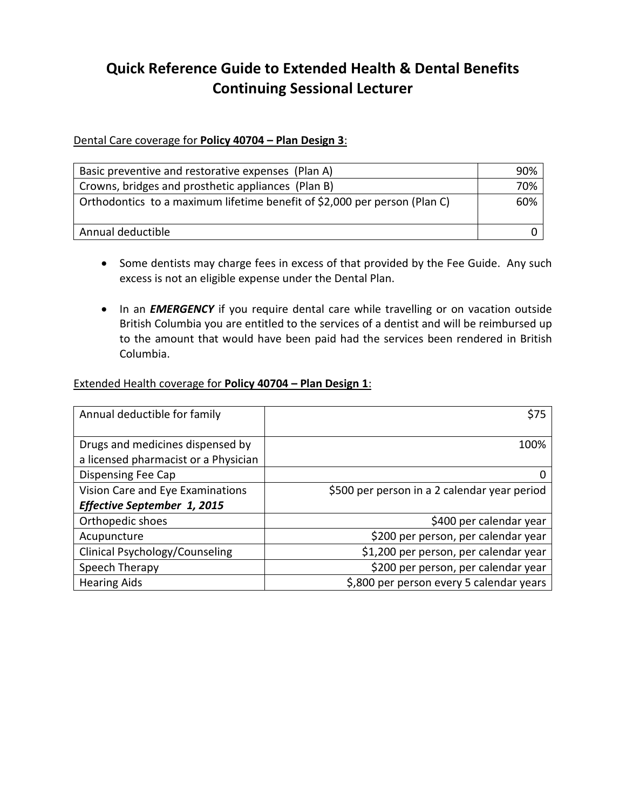## **Quick Reference Guide to Extended Health & Dental Benefits Continuing Sessional Lecturer**

## Dental Care coverage for **Policy 40704 – Plan Design 3**:

| Basic preventive and restorative expenses (Plan A)                        | 90% |
|---------------------------------------------------------------------------|-----|
| Crowns, bridges and prosthetic appliances (Plan B)                        | 70% |
| Orthodontics to a maximum lifetime benefit of \$2,000 per person (Plan C) | 60% |
| Annual deductible                                                         |     |

- Some dentists may charge fees in excess of that provided by the Fee Guide. Any such excess is not an eligible expense under the Dental Plan.
- In an **EMERGENCY** if you require dental care while travelling or on vacation outside British Columbia you are entitled to the services of a dentist and will be reimbursed up to the amount that would have been paid had the services been rendered in British Columbia.

## Extended Health coverage for **Policy 40704 – Plan Design 1**:

| Annual deductible for family         | \$75                                         |  |
|--------------------------------------|----------------------------------------------|--|
|                                      |                                              |  |
| Drugs and medicines dispensed by     | 100%                                         |  |
| a licensed pharmacist or a Physician |                                              |  |
| <b>Dispensing Fee Cap</b>            |                                              |  |
| Vision Care and Eye Examinations     | \$500 per person in a 2 calendar year period |  |
| <b>Effective September 1, 2015</b>   |                                              |  |
| Orthopedic shoes                     | \$400 per calendar year                      |  |
| Acupuncture                          | \$200 per person, per calendar year          |  |
| Clinical Psychology/Counseling       | \$1,200 per person, per calendar year        |  |
| Speech Therapy                       | \$200 per person, per calendar year          |  |
| <b>Hearing Aids</b>                  | \$,800 per person every 5 calendar years     |  |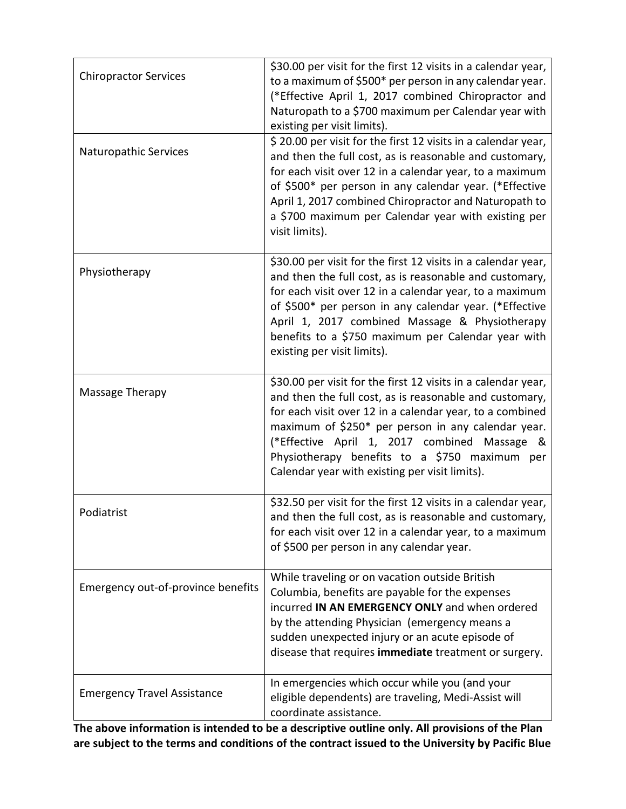| <b>Chiropractor Services</b><br>Naturopathic Services | \$30.00 per visit for the first 12 visits in a calendar year,<br>to a maximum of \$500* per person in any calendar year.<br>(*Effective April 1, 2017 combined Chiropractor and<br>Naturopath to a \$700 maximum per Calendar year with<br>existing per visit limits).<br>\$20.00 per visit for the first 12 visits in a calendar year,<br>and then the full cost, as is reasonable and customary,<br>for each visit over 12 in a calendar year, to a maximum<br>of \$500* per person in any calendar year. (*Effective<br>April 1, 2017 combined Chiropractor and Naturopath to<br>a \$700 maximum per Calendar year with existing per |
|-------------------------------------------------------|-----------------------------------------------------------------------------------------------------------------------------------------------------------------------------------------------------------------------------------------------------------------------------------------------------------------------------------------------------------------------------------------------------------------------------------------------------------------------------------------------------------------------------------------------------------------------------------------------------------------------------------------|
|                                                       | visit limits).<br>\$30.00 per visit for the first 12 visits in a calendar year,                                                                                                                                                                                                                                                                                                                                                                                                                                                                                                                                                         |
| Physiotherapy                                         | and then the full cost, as is reasonable and customary,<br>for each visit over 12 in a calendar year, to a maximum<br>of \$500* per person in any calendar year. (*Effective<br>April 1, 2017 combined Massage & Physiotherapy<br>benefits to a \$750 maximum per Calendar year with<br>existing per visit limits).                                                                                                                                                                                                                                                                                                                     |
| Massage Therapy                                       | \$30.00 per visit for the first 12 visits in a calendar year,<br>and then the full cost, as is reasonable and customary,<br>for each visit over 12 in a calendar year, to a combined<br>maximum of \$250* per person in any calendar year.<br>(*Effective April 1, 2017 combined Massage &<br>Physiotherapy benefits to a \$750 maximum per<br>Calendar year with existing per visit limits).                                                                                                                                                                                                                                           |
| Podiatrist                                            | \$32.50 per visit for the first 12 visits in a calendar year,<br>and then the full cost, as is reasonable and customary,<br>for each visit over 12 in a calendar year, to a maximum<br>of \$500 per person in any calendar year.                                                                                                                                                                                                                                                                                                                                                                                                        |
| Emergency out-of-province benefits                    | While traveling or on vacation outside British<br>Columbia, benefits are payable for the expenses<br>incurred IN AN EMERGENCY ONLY and when ordered<br>by the attending Physician (emergency means a<br>sudden unexpected injury or an acute episode of<br>disease that requires immediate treatment or surgery.                                                                                                                                                                                                                                                                                                                        |
| <b>Emergency Travel Assistance</b>                    | In emergencies which occur while you (and your<br>eligible dependents) are traveling, Medi-Assist will<br>coordinate assistance.                                                                                                                                                                                                                                                                                                                                                                                                                                                                                                        |

**The above information is intended to be a descriptive outline only. All provisions of the Plan are subject to the terms and conditions of the contract issued to the University by Pacific Blue**